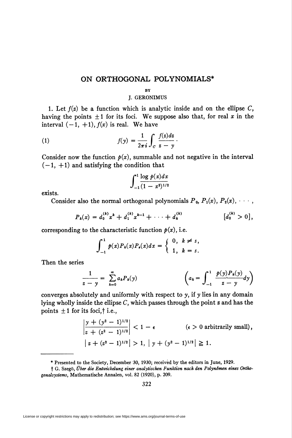## ON ORTHOGONAL POLYNOMIALS\*

## **BV**

## J. GERONIMUS

1. Let  $f(z)$  be a function which is analytic inside and on the ellipse C, having the points  $\pm 1$  for its foci. We suppose also that, for real x in the interval  $(-1, +1)$ ,  $f(x)$  is real. We have

(1) 
$$
f(y) = \frac{1}{2\pi i} \int_C \frac{f(z)dz}{z - y}.
$$

Consider now the function  $p(x)$ , summable and not negative in the interval  $(-1, +1)$  and satisfying the condition that

$$
\int_{-1}^{1} \frac{\log p(x) dx}{(1-x^2)^{1/2}}
$$

exists.

Consider also the normal orthogonal polynomials  $P_0$ ,  $P_1(x)$ ,  $P_2(x)$ ,  $\dots$ ,

$$
P_k(x) = d_0^{(k)} x^k + d_1^{(k)} x^{k-1} + \cdots + d_k^{(k)} \qquad [d_0^{(k)} > 0],
$$

corresponding to the characteristic function  $p(x)$ , i.e.

$$
\int_{-1}^1 p(x) P_k(x) P_s(x) dx = \begin{cases} 0, & k \neq s, \\ 1, & k = s. \end{cases}
$$

Then the series

$$
\frac{1}{z-y} = \sum_{k=0}^{\infty} a_k P_k(y) \qquad \qquad \left(a_k = \int_{-1}^{1} \frac{p(y) P_k(y)}{z-y} dy\right)
$$

converges absolutely and uniformly with respect to  $y$ , if  $y$  lies in any domain lying wholly inside the ellipse  $C$ , which passes through the point  $\boldsymbol{z}$  and has the points  $\pm 1$  for its foci,  $\dagger$  i.e.,

$$
\left|\frac{y + (y^2 - 1)^{1/2}}{z + (z^2 - 1)^{1/2}}\right| < 1 - \epsilon \quad (\epsilon > 0 \text{ arbitrarily small}),
$$
\n
$$
\left|z + (z^2 - 1)^{1/2}\right| > 1, \left|y + (y^2 - 1)^{1/2}\right| \geq 1.
$$

<sup>\*</sup> Presented to the Society, December 30, 1930; received by the editors in June, 1929.

f G. Szegö, Über die Entwickelung einer analytischen Funktion nach den Polynomen eines Orthogonalsystems, Mathematische Annalen, vol. 82 (1920), p. 209.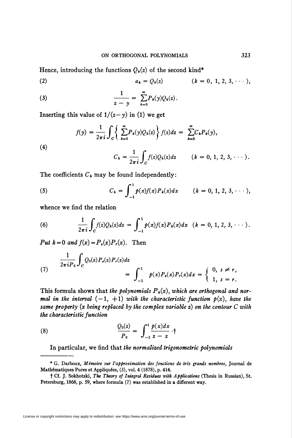Hence, introducing the functions  $Q_k(z)$  of the second kind\* (2)  $a_k = Q_k(z)$   $(k = 0, 1, 2, 3, \cdots),$ 

(3) 
$$
\frac{1}{z-y} = \sum_{k=0}^{\infty} P_k(y) Q_k(z).
$$

Inserting this value of  $1/(z - y)$  in (1) we get

(4)  

$$
f(y) = \frac{1}{2\pi i} \int_C \left\{ \sum_{k=0}^{\infty} P_k(y) Q_k(z) \right\} f(z) dz = \sum_{k=0}^{\infty} C_k P_k(y),
$$

$$
C_k = \frac{1}{2\pi i} \int_C f(z) Q_k(z) dz \qquad (k = 0, 1, 2, 3, \cdots).
$$

The coefficients  $C_k$  may be found independently:

(5) 
$$
C_k = \int_{-1}^1 p(x)f(x)P_k(x)dx \qquad (k = 0, 1, 2, 3, \cdots),
$$

whence we find the relation

(6) 
$$
\frac{1}{2\pi i}\int_C f(z)Q_k(z)dz = \int_{-1}^1 p(x)f(x)P_k(x)dx \quad (k = 0, 1, 2, 3, \cdots).
$$

Put  $k = 0$  and  $f(x) = P_a(x)P_r(x)$ . Then

(7) 
$$
\frac{1}{2\pi i P_0} \int_C Q_0(z) P_s(z) P_r(z) dz = \int_{-1}^1 \rho(x) P_s(x) P_r(x) dx = \begin{cases} 0, & s \neq r, \\ 1, & s = r. \end{cases}
$$

This formula shows that the polynomials  $P_k(x)$ , which are orthogonal and normal in the interval  $(-1, +1)$  with the characteristic function  $p(x)$ , have the same property (x being replaced by the complex variable  $z$ ) on the contour  $C$  with the characteristic function

(8) 
$$
\frac{Q_0(z)}{P_0} = \int_{-1}^{1} \frac{p(x)dx}{z-x} \cdot \dagger
$$

In particular, we find that the normalized trigonometric polynomials

<sup>\*</sup> G. Darboux, Mémoire sur l'approximation des fonctions de très grands nombres, Journal de Mathématiques Pures et Appliquées, (3), vol. 4 (1878), p. 414.

t Cf. J. Sokhotzki, The Theory of Integral Residues with Applications (Thesis in Russian), St. Petersburg, 1868, p. 59, where formula (7) was established in a different way.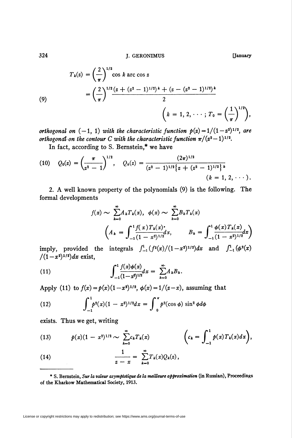324 J. GERONIMUS [January

$$
T_k(z) = \left(\frac{2}{\pi}\right)^{1/2} \cos k \arccos z
$$
  
=  $\left(\frac{2}{\pi}\right)^{1/2} \frac{(z + (z^2 - 1)^{1/2})^k + (z - (z^2 - 1)^{1/2})^k}{2}$   
 $\left(k = 1, 2, \dots; T_0 = \left(\frac{1}{\pi}\right)^{1/2}\right),$ 

orthogonal on  $(-1, 1)$  with the characteristic function  $p(z) = 1/(1-z^2)^{1/2}$ , are orthogonal on the contour C with the characteristic function  $\pi/(z^2-1)^{1/2}$ .

In fact, according to S. Bernstein,\* we have

(10) 
$$
Q_0(z) = \left(\frac{\pi}{z^2 - 1}\right)^{1/2}, \quad Q_k(z) = \frac{(2\pi)^{1/2}}{(z^2 - 1)^{1/2} \{z + (z^2 - 1)^{1/2}\}^k}
$$
  
\n $(k = 1, 2, \cdots).$ 

2. A well known property of the polynomials (9) is the following. The formal developments

$$
f(x) \sim \sum_{k=0}^{\infty} A_k T_k(x), \quad \phi(x) \sim \sum_{k=0}^{\infty} B_k T_k(x)
$$

$$
\left(A_k = \int_{-1}^{1} \frac{f(x) T_k(x)^*}{(1 - x^2)^{1/2}} dx, \qquad B_k = \int_{-1}^{1} \frac{\phi(x) T_k(x)}{(1 - x^2)^{1/2}} dx\right)
$$

imply, provided the integrals  $\int_{-1}^{1} (f^2(x)/(1-x^2)^{1/2})dx$  and  $\int_{-1}^{1} (\phi^2(x))$  $/(1-x^2)^{1/2}dx$  exist,

(11) 
$$
\int_{-1}^{1} \frac{f(x)\phi(x)}{(1-x^2)^{1/2}} dx = \sum_{k=0}^{\infty} A_k B_k.
$$

Apply (11) to  $f(x) = p(x)(1-x^2)^{1/2}$ ,  $\phi(x) = 1/(z-x)$ , assuming that

(12) 
$$
\int_{-1}^{1} p^2(x)(1-x^2)^{1/2}dx = \int_{0}^{\pi} p^2(\cos \phi) \sin^2 \phi d\phi
$$

exists. Thus we get, writing

(13) 
$$
p(x)(1-x^2)^{1/2} \sim \sum_{k=0}^{\infty} c_k T_k(x) \qquad \qquad \bigg(c_k = \int_{-1}^{1} p(x) T_k(x) dx\bigg),
$$

(14) 
$$
\frac{1}{z-x} = \sum_{k=0}^{\infty} T_k(x) Q_k(z),
$$

\* S. Bernstein, Sur la valeur asymptotique de la meilleure approximation (in Russian), Proceedings of the Kharkow Mathematical Society, 1913.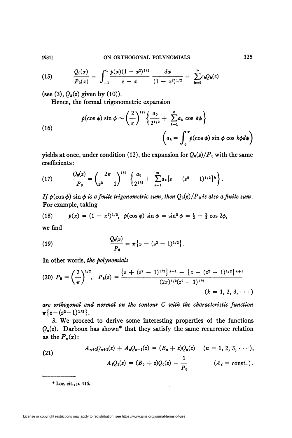(15) 
$$
\frac{Q_0(x)}{P_0(x)} = \int_{-1}^{1} \frac{p(x)(1-x^2)^{1/2}}{z-x} \frac{dx}{(1-x^2)^{1/2}} = \sum_{k=0}^{\infty} c_k Q_k(z)
$$

(see (3),  $Q_k(z)$  given by (10)).

Hence, the formal trigonometric expansion

(16)  

$$
p(\cos \phi) \sin \phi \sim \left(\frac{2}{\pi}\right)^{1/2} \left\{\frac{a_0}{2^{1/2}} + \sum_{k=1}^{\infty} a_k \cos k\phi \right\}
$$

$$
\left(a_k = \int_0^{\pi} p(\cos \phi) \sin \phi \cos k\phi d\phi\right)
$$

yields at once, under condition (12), the expansion for  $Q_0(z)/P_0$  with the same coefficients:

(17) 
$$
\frac{Q_0(z)}{P_0} = \left(\frac{2\pi}{z^2-1}\right)^{1/2} \left\{\frac{a_0}{2^{1/2}} + \sum_{k=1}^{\infty} a_k \left[z - (z^2-1)^{1/2}\right]^k\right\}.
$$

If  $p(\cos \phi)$  sin  $\phi$  is a finite trigonometric sum, then  $Q_0(z)/P_0$  is also a finite sum. For example, taking

(18) 
$$
p(x) = (1 - x^2)^{1/2}, p(\cos \phi) \sin \phi = \sin^2 \phi = \frac{1}{2} - \frac{1}{2} \cos 2\phi,
$$

we find

(19) 
$$
\frac{Q_0(z)}{P_0} = \pi \{z - (z^2 - 1)^{1/2}\}.
$$

In other words, the polynomials

$$
(20) \ P_0 = \left(\frac{2}{\pi}\right)^{1/2}, \quad P_k(z) = \frac{\left\{z + (z^2 - 1)^{1/2}\right\}^{k+1} - \left\{z - (z^2 - 1)^{1/2}\right\}^{k+1}}{(2\pi)^{1/2}(z^2 - 1)^{1/2}} \quad (k = 1, 2, 3, \cdots)
$$

are orthogonal and normal on the contour C with the characteristic function  $\pi\{z-(z^2-1)^{1/2}\}.$ 

3. We proceed to derive some interesting properties of the functions  $Q_n(z)$ . Darboux has shown<sup>\*</sup> that they satisfy the same recurrence relation as the  $P_n(x)$ :

(21) 
$$
A_{n+1}Q_{n+1}(z) + A_nQ_{n-1}(z) = (B_n + z)Q_n(z) \quad (n = 1, 2, 3, \cdots),
$$

$$
A_1Q_1(z) = (B_0 + z)Q_0(z) - \frac{1}{P_0} \qquad (A_i = \text{const.}).
$$

\* Loc. cit., p. 415.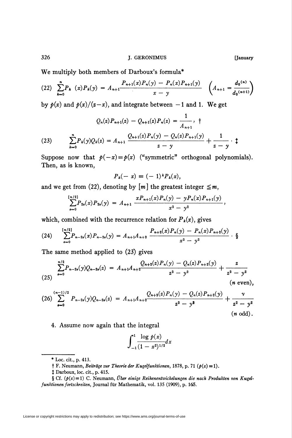We multiply both members of Darboux's formula\*

(22) 
$$
\sum_{k=0}^{n} P_k(x) P_k(y) = A_{n+1} \frac{P_{n+1}(x) P_n(y) - P_n(x) P_{n+1}(y)}{x - y} \left( A_{n+1} = \frac{d_0^{(n)}}{d_0^{(n+1)}} \right)
$$

by  $p(x)$  and  $p(x)/(z-x)$ , and integrate between  $-1$  and 1. We get

$$
Q_n(z)P_{n+1}(z) - Q_{n+1}(z)P_n(z) = \frac{1}{A_{n+1}}, \quad \n\uparrow
$$
\n
$$
(23) \qquad \sum_{k=0}^n P_k(y)Q_k(z) = A_{n+1} \frac{Q_{n+1}(z)P_n(y) - Q_n(z)P_{n+1}(y)}{z - y} + \frac{1}{z - y} \cdot \uparrow
$$

Suppose now that  $p(-x) \equiv p(x)$  ("symmetric" orthogonal polynomials). Then, as is known,

$$
P_k(-x) = (-1)^k P_k(x),
$$

and we get from (22), denoting by  $[m]$  the greatest integer  $\leq m$ ,

$$
\sum_{s=0}^{\lfloor n/2 \rfloor} P_{2s}(x) P_{2s}(y) = A_{n+1} \frac{x P_{n+1}(x) P_n(y) - y P_n(x) P_{n+1}(y)}{x^2 - y^2},
$$

which, combined with the recurrence relation for  $P_k(x)$ , gives

(24) 
$$
\sum_{s=0}^{\lfloor n/2 \rfloor} P_{n-2s}(x) P_{n-2s}(y) = A_{n+1} A_{n+2} \frac{P_{n+2}(x) P_n(y) - P_n(x) P_{n+2}(y)}{x^2 - y^2} \cdot \S
$$

The same method applied to (23) gives

$$
\sum_{s=0}^{n/2} P_{n-2s}(y) Q_{n-2s}(z) = A_{n+1} A_{n+2} \frac{Q_{n+2}(z) P_n(y) - Q_n(z) P_{n+2}(y)}{z^2 - y^2} + \frac{z}{z^2 - y^2}
$$
\n(*n* even),

$$
(26)\sum_{s=0}^{(n-1)/2} P_{n-2s}(y)Q_{n-2s}(z) = A_{n+1}A_{n+2}\frac{Q_{n+2}(z)P_n(y) - Q_n(z)P_{n+2}(y)}{z^2 - y^2} + \frac{\nu}{z^2 - y^2} (n \text{ odd}).
$$

4. Assume now again that the integral

License or copyright restrictions may apply to redistribution; see https://www.ams.org/journal-terms-of-use

$$
\int_{-1}^{1} \frac{\log p(x)}{(1-x^2)^{1/2}} dx
$$

<sup>\*</sup> Loc. cit., p. 413.

 $\dagger$  F. Neumann, *Beiträge zur Theorie der Kugelfunktionen*, 1878, p. 71 ( $p(x) \equiv 1$ ).

t Darboux, loc. cit., p. 415.

<sup>§</sup> Cf.  $(p(x)=1)$  C. Neumann, Über einige Reihenentwickelungen die nach Produkten von Kugelfunktionen fortschreiten, Journal für Mathematik, vol. 135 (1909), p. 165.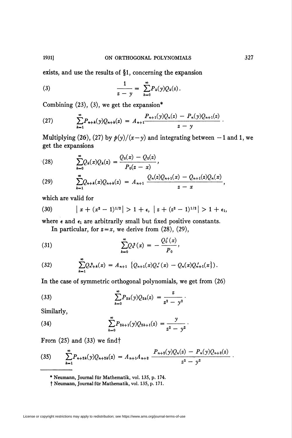exists, and use the results of §1, concerning the expansion

(3) 
$$
\frac{1}{z - y} = \sum_{k=0}^{\infty} P_k(y) Q_k(z).
$$

Combining  $(23)$ ,  $(3)$ , we get the expansion\*

(27) 
$$
\sum_{k=1}^{\infty} P_{n+k}(y) Q_{n+k}(z) = A_{n+1} \frac{P_{n+1}(y) Q_n(z) - P_n(y) Q_{n+1}(z)}{z - y}
$$

Multiplying (26), (27) by  $p(y)/(x-y)$  and integrating between -1 and 1, we get the expansions

(28) 
$$
\sum_{k=0}^{\infty} Q_k(x) Q_k(z) = \frac{Q_0(x) - Q_0(z)}{P_0(z - x)},
$$

(29) 
$$
\sum_{k=1}^{\infty} Q_{n+k}(x) Q_{n+k}(z) = A_{n+1} \frac{Q_n(z) Q_{n+1}(x) - Q_{n+1}(z) Q_n(x)}{z-x},
$$

which are valid for

(30) 
$$
\left| x + (x^2 - 1)^{1/2} \right| > 1 + \epsilon, \left| z + (z^2 - 1)^{1/2} \right| > 1 + \epsilon_1,
$$

where  $\epsilon$  and  $\epsilon_1$  are arbitrarily small but fixed positive constants.

In particular, for  $z = x$ , we derive from (28), (29),

(31) 
$$
\sum_{k=0}^{\infty} Q_k^2(x) = -\frac{Q_0'(x)}{P_0},
$$

(32) 
$$
\sum_{k=1}^{\infty} Q_{n+k}^{2}(x) = A_{n+1} \left\{ Q_{n+1}(x) Q_{n}'(x) - Q_{n}(x) Q_{n+1}'(x) \right\}.
$$

In the case of symmetric orthogonal polynomials, we get from (26)

(33) 
$$
\sum_{k=0}^{\infty} P_{2k}(y) Q_{2k}(z) = \frac{z}{z^2 - y^2}.
$$

Similarly,

(34) 
$$
\sum_{k=0}^{\infty} P_{2k+1}(y) Q_{2k+1}(z) = \frac{y}{z^2 - y^2}.
$$

From  $(25)$  and  $(33)$  we find

$$
(35) \qquad \sum_{k=1}^{\infty} P_{n+2k}(y) Q_{n+2k}(z) = A_{n+1} A_{n+2} \frac{P_{n+2}(y) Q_n(z) - P_n(y) Q_{n+2}(z)}{z^2 - y^2}.
$$

<sup>\*</sup> Neumann, Journal für Mathematik, vol. 135, p. 174.

t Neumann, Journal für Mathematik, vol. 135, p. 171.